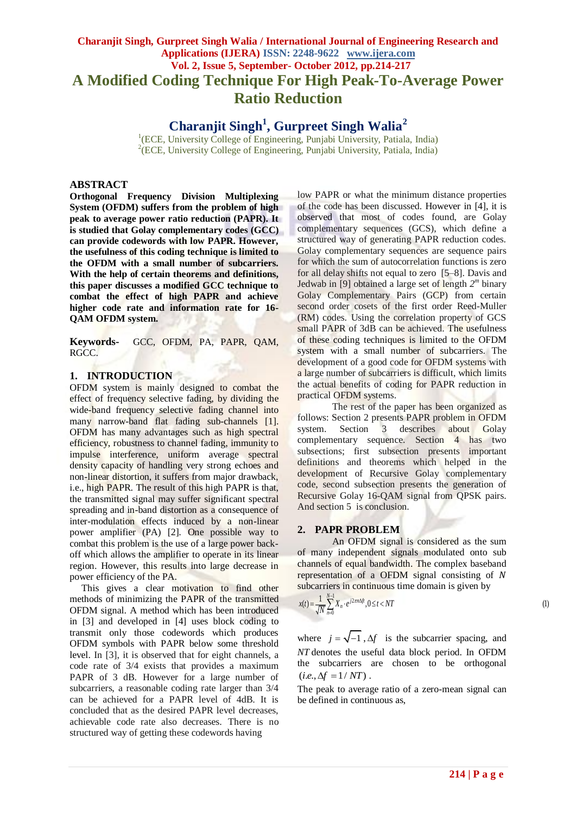# **Charanjit Singh, Gurpreet Singh Walia / International Journal of Engineering Research and Applications (IJERA) ISSN: 2248-9622 www.ijera.com Vol. 2, Issue 5, September- October 2012, pp.214-217 A Modified Coding Technique For High Peak-To-Average Power Ratio Reduction**

**Charanjit Singh<sup>1</sup> , Gurpreet Singh Walia<sup>2</sup>**

<sup>1</sup>(ECE, University College of Engineering, Punjabi University, Patiala, India) <sup>2</sup>(ECE, University College of Engineering, Punjabi University, Patiala, India)

## **ABSTRACT**

**Orthogonal Frequency Division Multiplexing System (OFDM) suffers from the problem of high peak to average power ratio reduction (PAPR). It is studied that Golay complementary codes (GCC) can provide codewords with low PAPR. However, the usefulness of this coding technique is limited to the OFDM with a small number of subcarriers. With the help of certain theorems and definitions, this paper discusses a modified GCC technique to combat the effect of high PAPR and achieve higher code rate and information rate for 16- QAM OFDM system.**

**Keywords-** GCC, OFDM, PA, PAPR, QAM, RGCC.

# **1. INTRODUCTION**

OFDM system is mainly designed to combat the effect of frequency selective fading, by dividing the wide-band frequency selective fading channel into many narrow-band flat fading sub-channels [1]. OFDM has many advantages such as high spectral efficiency, robustness to channel fading, immunity to impulse interference, uniform average spectral density capacity of handling very strong echoes and non-linear distortion, it suffers from major drawback, i.e., high PAPR. The result of this high PAPR is that, the transmitted signal may suffer significant spectral spreading and in-band distortion as a consequence of inter-modulation effects induced by a non-linear power amplifier (PA) [2]. One possible way to combat this problem is the use of a large power backoff which allows the amplifier to operate in its linear region. However, this results into large decrease in power efficiency of the PA.

 This gives a clear motivation to find other methods of minimizing the PAPR of the transmitted OFDM signal. A method which has been introduced in [3] and developed in [4] uses block coding to transmit only those codewords which produces OFDM symbols with PAPR below some threshold level. In [3], it is observed that for eight channels, a code rate of 3/4 exists that provides a maximum PAPR of 3 dB. However for a large number of subcarriers, a reasonable coding rate larger than 3/4 can be achieved for a PAPR level of 4dB. It is concluded that as the desired PAPR level decreases, achievable code rate also decreases. There is no structured way of getting these codewords having

low PAPR or what the minimum distance properties of the code has been discussed. However in [4], it is observed that most of codes found, are Golay complementary sequences (GCS), which define a structured way of generating PAPR reduction codes. Golay complementary sequences are sequence pairs for which the sum of autocorrelation functions is zero for all delay shifts not equal to zero [5–8]. Davis and Jedwab in [9] obtained a large set of length *2 m* binary Golay Complementary Pairs (GCP) from certain second order cosets of the first order Reed-Muller (RM) codes. Using the correlation property of GCS small PAPR of 3dB can be achieved. The usefulness of these coding techniques is limited to the OFDM system with a small number of subcarriers. The development of a good code for OFDM systems with a large number of subcarriers is difficult, which limits the actual benefits of coding for PAPR reduction in practical OFDM systems.

The rest of the paper has been organized as follows: Section 2 presents PAPR problem in OFDM system. Section 3 describes about Golay complementary sequence. Section 4 has two subsections; first subsection presents important definitions and theorems which helped in the development of Recursive Golay complementary code, second subsection presents the generation of Recursive Golay 16-QAM signal from QPSK pairs. And section 5 is conclusion.

### **2. PAPR PROBLEM**

An OFDM signal is considered as the sum of many independent signals modulated onto sub channels of equal bandwidth. The complex baseband representation of a OFDM signal consisting of N subcarriers in continuous time domain is given by<br>  $x(t) = \frac{1}{\sqrt{N}} \sum_{i=1}^{N-1} X_i \cdot e^{j2\pi n\Delta ft}, 0 \le t < NT$  (1)

$$
x(t) = \frac{1}{\sqrt{N}} \sum_{n=0}^{N-1} X_n \cdot e^{j2\pi n \Delta ft}, 0 \le t < NT
$$

where  $j = \sqrt{-1}$ ,  $\Delta f$  is the subcarrier spacing, and *NT* denotes the useful data block period. In OFDM the subcarriers are chosen to be orthogonal  $(i.e., \Delta f = 1/NT)$ .

The peak to average ratio of a zero-mean signal can be defined in continuous as,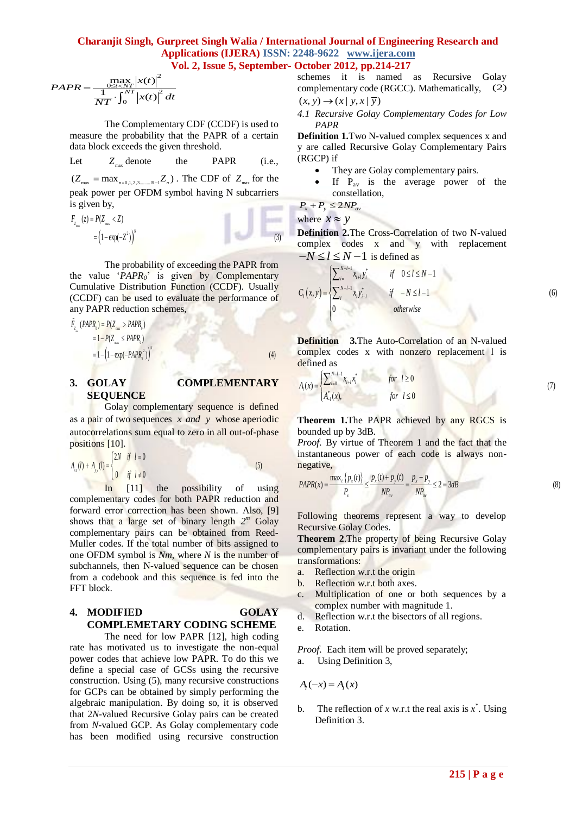# **Charanjit Singh, Gurpreet Singh Walia** / **International Journal of Engineering Research and**<br> **Applications (IJERA) ISSN: 2248-9622** www.ijera.com<br> **Vol. 2, Issue 5, September- October 2012, pp.214-217**<br>
schemes it is na **Applications (IJERA) ISSN: 2248-9622 www.ijera.com Vol. 2, Issue 5, September- October 2012, pp.214-217**

$$
PAPR = \frac{\max\limits_{0 \le t \le NT} |x(t)|^2}{\frac{1}{NT} \cdot \int_0^{NT} |x(t)|^2 dt}
$$

The Complementary CDF (CCDF) is used to measure the probability that the PAPR of a certain data block exceeds the given threshold.

Let 
$$
Z_{\text{max}}
$$
 denote the PAPR (i.e.,

 $(Z_{\text{max}} = \max_{n=0,1,2,3,\dots,N-1} Z_n)$ . The CDF of  $Z_{\text{max}}$  for the peak power per OFDM symbol having N subcarriers

is given by,  
\n
$$
F_{z_{\text{max}}} (z) = P(Z_{\text{max}} < Z)
$$
\n
$$
= (1 - \exp(-Z^2))^N
$$
\n(3)

The probability of exceeding the PAPR from the value '*PAPR0*' is given by Complementary Cumulative Distribution Function (CCDF). Usually (CCDF) can be used to evaluate the performance of ÷

any PAPR reduction schemes,  
\n
$$
\tilde{F}_{z_{-}}(PAPR_{0}) = P(Z_{\text{max}} > PAPR_{0})
$$
\n
$$
= 1 - P(Z_{\text{max}} \leq PAPR_{0})
$$
\n
$$
= 1 - \left(1 - \exp(-PAPR_{0}^{2})\right)^{x}
$$
\n(4)

# **3. GOLAY COMPLEMENTARY SEQUENCE**

Golay complementary sequence is defined as a pair of two sequences *x and y* whose aperiodic autocorrelations sum equal to zero in all out-of-phase

**positions [10].**  

$$
A_{xx}(l) + A_{yy}(l) =\begin{cases} 2N & \text{if } l = 0 \\ 0 & \text{if } l \neq 0 \end{cases}
$$
 (5)

In [11] the possibility of using complementary codes for both PAPR reduction and forward error correction has been shown. Also, [9] shows that a large set of binary length *2 <sup>m</sup>* Golay complementary pairs can be obtained from Reed-Muller codes. If the total number of bits assigned to one OFDM symbol is *Nm*, where *N* is the number of subchannels, then N-valued sequence can be chosen from a codebook and this sequence is fed into the FFT block.

# **4. MODIFIED GOLAY COMPLEMETARY CODING SCHEME**

The need for low PAPR [12], high coding rate has motivated us to investigate the non-equal power codes that achieve low PAPR. To do this we define a special case of GCSs using the recursive construction. Using (5), many recursive constructions for GCPs can be obtained by simply performing the algebraic manipulation. By doing so, it is observed that 2*N*-valued Recursive Golay pairs can be created from *N*-valued GCP. As Golay complementary code has been modified using recursive construction

 $\frac{\frac{1}{1-\epsilon(X)}|X(t)|}{\frac{1}{1-\epsilon(Y)|X(t)|^2}dt}$  complementary code (RGCC). Mathematically, (2) schemes it is named as Recursive Golay  $(x, y) \rightarrow (x | y, x | \overline{y})$ 

> *4.1 Recursive Golay Complementary Codes for Low PAPR*

> **Definition 1.**Two N-valued complex sequences x and y are called Recursive Golay Complementary Pairs (RGCP) if

- They are Golay complementary pairs.
- If  $P_{av}$  is the average power of the constellation,

 $P_x + P_y \leq 2NP_{av}$ 

where  $x \approx y$ 

**Definition 2.**The Cross-Correlation of two N-valued complex codes x and y with replacement

$$
-N \le l \le N-1
$$
 is defined as  
\n
$$
C_{i}(x,y) =\begin{cases}\n\sum_{i=1}^{N-l-1} x_{i+l} y_{i}^{*} & \text{if } 0 \le l \le N-1 \\
\sum_{i=1}^{N+l-1} x_{i} y_{i-l}^{*} & \text{if } -N \le l-1 \\
0 & \text{otherwise}\n\end{cases}
$$
\n(6)

**Definition 3.**The Auto-Correlation of an N-valued complex codes x with nonzero replacement 1 is defined as<br>  $A(x) = \sum_{i=0}^{N-l-1} x_{i+l} x_i^*$  for  $l \ge 0$ 

defined as  
\n
$$
A_{l}(x) = \begin{cases} \sum_{i=0}^{N-l-1} x_{i+l} x_i^* & \text{for } l \ge 0 \\ A_{-l}^*(x), & \text{for } l \le 0 \end{cases}
$$
\n(7)

**Theorem 1.**The PAPR achieved by any RGCS is bounded up by 3dB.

*Proof.* By virtue of Theorem 1 and the fact that the instantaneous power of each code is always non-<br>negative,<br> $PAPR(x) = \frac{\max_i \{p_x(t)\}}{2} \le \frac{p_x(t) + p_y(t)}{2} = \frac{p_x + p_y}{2} \le 2 = 3dB$ negative,

negative,  
\n
$$
PAPR(x) = \frac{\max_{t} \{p_x(t)\}}{P_x} \le \frac{p_x(t) + p_y(t)}{NP_{av}} = \frac{p_x + p_y}{NP_{av}} \le 2 = 3dB
$$
\n(8)

Following theorems represent a way to develop Recursive Golay Codes.

**Theorem 2**.The property of being Recursive Golay complementary pairs is invariant under the following transformations:

- a. Reflection w.r.t the origin
- b. Reflection w.r.t both axes.
- c. Multiplication of one or both sequences by a complex number with magnitude 1.
- d. Reflection w.r.t the bisectors of all regions.
- e. Rotation.

*Proof.* Each item will be proved separately; a. Using Definition 3, Proof. Each item will be proved separately;<br>a. Using Definition 3,<br> $A_i(-x) = A_i(x)$ of. Each item wil<br>Using Definition<br> $-x$ ) =  $A<sub>l</sub>(x)$ 

$$
A_{i}(-x) = A_{i}(x)
$$

b. The reflection of *x* w.r.t the real axis is  $x^*$ . Using Definition 3.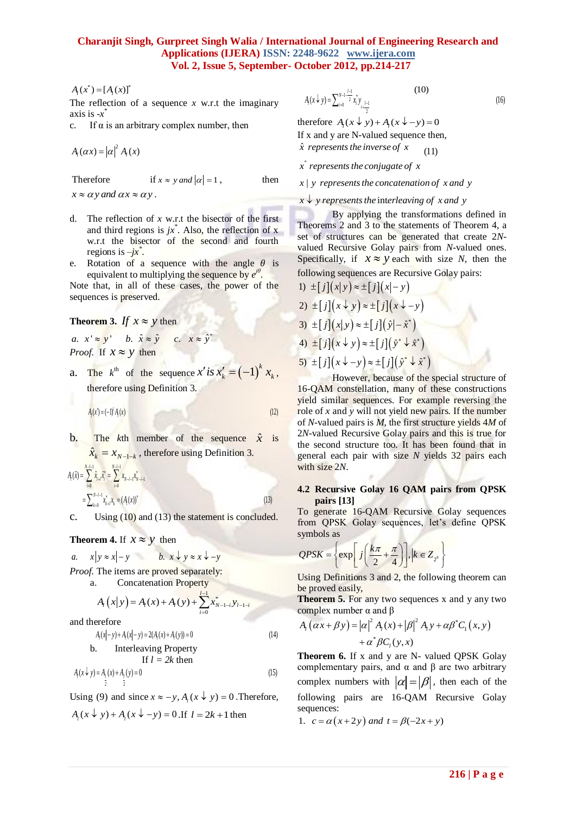# **Charanjit Singh, Gurpreet Singh Walia / International Journal of Engineering Research and Applications (IJERA) ISSN: 2248-9622 www.ijera.com Vol. 2, Issue 5, September- October 2012, pp.214-217 Example Applications (IJERA) ISSN: 2248-9622** www.ijera.com<br> **Vol. 2, Issue 5, September- October 2012, pp.214-217**<br>  $A_i(x^*) = [A_i(x)]^*$ <br>
The reflection of a sequence x w.r.t. the imaginary  $A(x \nmid y) = \sum_{k=1}^{N+1} \frac{A_i}{2} \sum_{k=$

, then

 $A_i(x^*) = [A_i(x)]^*$ 

The reflection of a sequence  $x$  w.r.t the imaginary axis is -*x* \*

c. If  $\alpha$  is an arbitrary complex number, then

 $A_i(\alpha x) = |\alpha|^2 A_i(x)$ 

Therefore

if  $x \approx y$  *and*  $|\alpha| = 1$ ,

 $x \approx \alpha y$  and  $\alpha x \approx \alpha y$ .

- d. The reflection of *x* w.r.t the bisector of the first and third regions is  $jx^*$ . Also, the reflection of x w.r.t the bisector of the second and fourth regions is *–jx\** .
- e. Rotation of a sequence with the angle  $\theta$  is equivalent to multiplying the sequence by  $e^{j\theta}$ .

Note that, in all of these cases, the power of the sequences is preserved.

**Theorem 3.** If  $x \approx y$  then

*a*  $x' \approx y'$  b  $\hat{x} \approx \hat{y}$  c  $x \approx \hat{y}^*$  $\approx y'$  b.  $\hat{x} \approx \hat{y}$  c.  $x \approx \hat{y}^*$ *Proof.* If  $x \approx y$  then

a. The  $k^{\text{th}}$  of the sequence  $x'$  is  $x'_k = (-1)^k x_k$ , therefore using Definition 3.

 $(x') = (-1)^l A_l(x)$  (12) *l*  $A_i(x') = (-1)^i A_i(x)$ 

b. The *k*th member of the sequence 
$$
\hat{x}
$$
 is  $\hat{x}_k = x_{N-1-k}$ , therefore using Definition 3.

$$
\hat{x}_k = x_{N-1-k} \text{, therefore using Definition 3.}
$$
\n
$$
A_i(\hat{x}) = \sum_{i=0}^{N-l-1} \hat{x}_{i+i} \hat{x}_i = \sum_{i=0}^{N+l-1} x_{N-i-1} \hat{x}_{N-i+1}
$$
\n
$$
= \sum_{i=0}^{N-l-1} x_{k+i}^i x_k = (A_i(x))^*
$$
\n(13)

c. Using  $(10)$  and  $(13)$  the statement is concluded.

**Theorem 4.** If  $x \approx y$  then

a. 
$$
x|y \approx x|-y
$$
 b.  $x \downarrow y \approx x \downarrow -y$ 

*Proof.* The items are proved separately: a. Concatenation Property

$$
A_{i}(x|y) = A_{i}(x) + A_{i}(y) + \sum_{i=0}^{l-1} x_{N-l-i}^{*} y_{l-l-i}
$$

and therefore

$$
A_1(x|-y) + A_1(x|-y) = 2(A_1(x) + A_1(y)) = 0
$$
\n(14)

b. Interleaving Property  
\nIf 
$$
l = 2k
$$
 then  
\n $A_i(x \downarrow y) = A_i(x) + A_i(y) = 0$  (15)

Using (9) and since  $x \approx -y$ ,  $A_i(x \downarrow y) = 0$ . Therefore,

$$
A_i(x \downarrow y) + A_i(x \downarrow -y) = 0
$$
. If  $l = 2k + 1$  then

$$
A_{t}(x \downarrow y) = \sum_{i=0}^{N-1} \sum_{i=1}^{i-1} x_{i}^{*} y_{i} \underbrace{10}_{i} \tag{10}
$$

(x \left(x \left)  $\lambda_i$ (x \left) = (x \left) if x and y are N-valued sequence the  $A_i(\alpha x) = |\alpha|^2 A_i(x)$ <br>  $A_i(\alpha x) = |\alpha|^2 A_i(x)$ therefore  $A_i(x \downarrow y) + A_i(x \downarrow -y) = 0$ If x and y are N-valued sequence then, ˆ *x represents the inverse of x*

\* *x represents the conjugate of x*

*x* represents the conjugate of x<br>x | y represents the concatenation of x and y

 $x \downarrow y$  represents the conculent tion of x and y<br> $x \downarrow y$  represents the interleaving of x and y

By applying the transformations defined in Theorems 2 and 3 to the statements of Theorem 4, a set of structures can be generated that create 2*N*valued Recursive Golay pairs from *N*-valued ones. Specifically, if  $x \approx y$  each with size *N*, then the following sequences are Recursive Golay pairs:

1) 
$$
\pm [j](x|y) \approx \pm [j](x|-y)
$$
  
\n2)  $\pm [j](x \downarrow y) \approx \pm [j](x \downarrow -y)$   
\n3)  $\pm [j](x|y) \approx \pm [j](\hat{y}|-\hat{x}^*)$   
\n4)  $\pm [j](x \downarrow y) \approx \pm [j](\hat{y}^* \downarrow \hat{x}^*)$   
\n5)  $\pm [j](x \downarrow -y) \approx \pm [j](\hat{y}^* \downarrow \hat{x}^*)$ 

However, because of the special structure of 16-QAM constellation, many of these constructions yield similar sequences. For example reversing the role of *x* and *y* will not yield new pairs. If the number of *N*-valued pairs is *M*, the first structure yields 4*M* of 2*N*-valued Recursive Golay pairs and this is true for the second structure too. It has been found that in general each pair with size *N* yields 32 pairs each with size 2*N*.

#### **4.2 Recursive Golay 16 QAM pairs from QPSK pairs [13]**

To generate 16-QAM Recursive Golay sequences from QPSK Golay sequences, let's define QPSK symbols as

$$
QPSK = \left\{ \exp \left[ j \left( \frac{k\pi}{2} + \frac{\pi}{4} \right) \right], k \in Z_{2^n} \right\}
$$

Using Definitions 3 and 2, the following theorem can be proved easily,

**Theorem 5.** For any two sequences x and y any two

complex number 
$$
\alpha
$$
 and  $\beta$   
\n
$$
A_{i} (\alpha x + \beta y) = |\alpha|^{2} A_{i} (x) + |\beta|^{2} A_{i} y + \alpha \beta^{*} C_{1} (x, y) + \alpha^{*} \beta C_{i} (y, x)
$$

**Theorem 6.** If x and y are N- valued QPSK Golay complementary pairs, and  $\alpha$  and  $\beta$  are two arbitrary complex numbers with  $|\alpha| = |\beta|$ , then each of the following pairs are 16-QAM Recursive Golay sequences:

1.  $c = \alpha(x+2y)$  *and*  $t = \beta(-2x+y)$